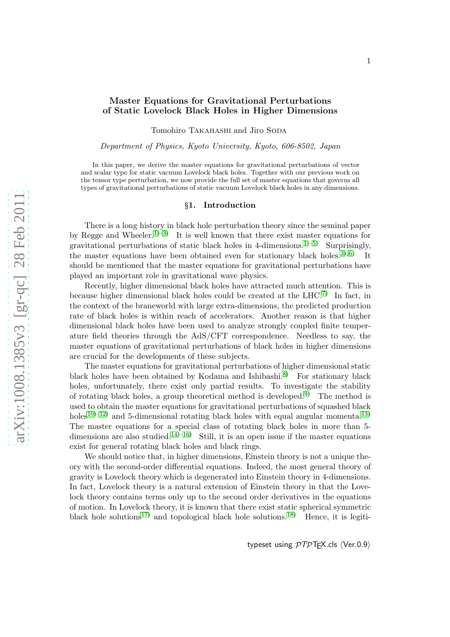# [arXiv:1008.1385v3 \[gr-qc\] 28 Feb 2011](http://arxiv.org/abs/1008.1385v3)

arXiv:1008.1385v3 [gr-qc] 28 Feb 2011

# Master Equations for Gravitational Perturbations of Static Lovelock Black Holes in Higher Dimensions

Tomohiro TAKAHASHI and Jiro SODA

Department of Physics, Kyoto University, Kyoto, 606-8502, Japan

In this paper, we derive the master equations for gravitational perturbations of vector and scalar type for static vacuum Lovelock black holes. Together with our previous work on the tensor type perturbation, we now provide the full set of master equations that governs all types of gravitational perturbations of static vacuum Lovelock black holes in any dimensions.

### §1. Introduction

There is a long history in black hole perturbation theory since the seminal paper by Regge and Wheeler.<sup>[1\)](#page-12-0)[–3\)](#page-12-1)</sup> It is well known that there exist master equations for gravitational perturbations of static black holes in 4-dimensions.<sup>[1\)](#page-12-0)[–5\)](#page-12-2)</sup> Surprisingly, the master equations have been obtained even for stationary black holes.<sup>[3\)](#page-12-1)[, 6\)](#page-12-3)</sup> It should be mentioned that the master equations for gravitational perturbations have played an important role in gravitational wave physics.

Recently, higher dimensional black holes have attracted much attention. This is because higher dimensional black holes could be created at the  $LHC^{7}$  In fact, in the context of the braneworld with large extra-dimensions, the predicted production rate of black holes is within reach of accelerators. Another reason is that higher dimensional black holes have been used to analyze strongly coupled finite temperature field theories through the AdS/CFT correspondence. Needless to say, the master equations of gravitational perturbations of black holes in higher dimensions are crucial for the developments of these subjects.

The master equations for gravitational perturbations of higher dimensional static black holes have been obtained by Kodama and Ishibashi.<sup>[8\)](#page-12-5)</sup> For stationary black holes, unfortunately, there exist only partial results. To investigate the stability of rotating black holes, a group theoretical method is developed.<sup>[9\)](#page-12-6)</sup> The method is used to obtain the master equations for gravitational perturbations of squashed black holes<sup>10[–12\)](#page-12-8)</sup> and 5-dimensional rotating black holes with equal angular momenta.<sup>[13\)](#page-12-9)</sup> The master equations for a special class of rotating black holes in more than 5- dimensions are also studied.<sup>[14\)](#page-12-10)–16</sup> Still, it is an open issue if the master equations exist for general rotating black holes and black rings.

We should notice that, in higher dimensions, Einstein theory is not a unique theory with the second-order differential equations. Indeed, the most general theory of gravity is Lovelock theory which is degenerated into Einstein theory in 4-dimensions. In fact, Lovelock theory is a natural extension of Einstein theory in that the Lovelock theory contains terms only up to the second order derivatives in the equations of motion. In Lovelock theory, it is known that there exist static spherical symmetric black hole solutions<sup>[17\)](#page-12-12)</sup> and topological black hole solutions.<sup>[18\)](#page-12-13)</sup> Hence, it is legiti-

typeset using  $\mathcal{PTP}$ T<sub>F</sub>X.cls  $\langle$ Ver.0.9 $\rangle$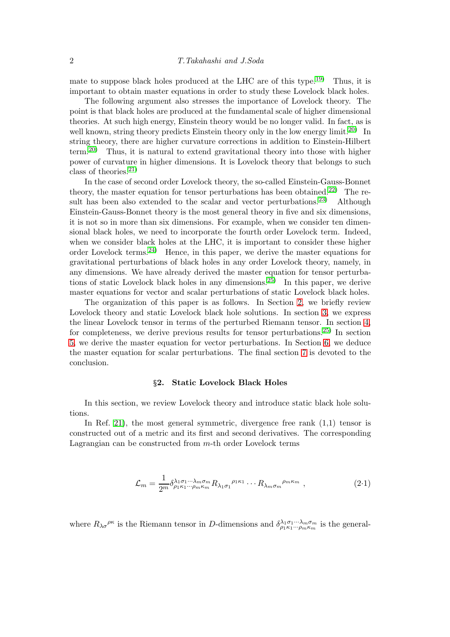mate to suppose black holes produced at the LHC are of this type.[19\)](#page-12-14) Thus, it is important to obtain master equations in order to study these Lovelock black holes.

The following argument also stresses the importance of Lovelock theory. The point is that black holes are produced at the fundamental scale of higher dimensional theories. At such high energy, Einstein theory would be no longer valid. In fact, as is well known, string theory predicts Einstein theory only in the low energy limit.<sup>[20\)](#page-12-15)</sup> In string theory, there are higher curvature corrections in addition to Einstein-Hilbert term.[20\)](#page-12-15) Thus, it is natural to extend gravitational theory into those with higher power of curvature in higher dimensions. It is Lovelock theory that belongs to such class of theories. $^{21}$ 

In the case of second order Lovelock theory, the so-called Einstein-Gauss-Bonnet theory, the master equation for tensor perturbations has been obtained.<sup>[22\)](#page-12-17)</sup> The re-sult has been also extended to the scalar and vector perturbations.<sup>[23\)](#page-12-18)</sup> Although Einstein-Gauss-Bonnet theory is the most general theory in five and six dimensions, it is not so in more than six dimensions. For example, when we consider ten dimensional black holes, we need to incorporate the fourth order Lovelock term. Indeed, when we consider black holes at the LHC, it is important to consider these higher order Lovelock terms.<sup>[24\)](#page-13-0)</sup> Hence, in this paper, we derive the master equations for gravitational perturbations of black holes in any order Lovelock theory, namely, in any dimensions. We have already derived the master equation for tensor perturba-tions of static Lovelock black holes in any dimensions.<sup>[25\)](#page-13-1)</sup> In this paper, we derive master equations for vector and scalar perturbations of static Lovelock black holes.

The organization of this paper is as follows. In Section [2,](#page-1-0) we briefly review Lovelock theory and static Lovelock black hole solutions. In section [3,](#page-3-0) we express the linear Lovelock tensor in terms of the perturbed Riemann tensor. In section [4,](#page-5-0) for completeness, we derive previous results for tensor perturbations.<sup>[25\)](#page-13-1)</sup> In section [5,](#page-6-0) we derive the master equation for vector perturbations. In Section [6,](#page-8-0) we deduce the master equation for scalar perturbations. The final section [7](#page-11-0) is devoted to the conclusion.

## §2. Static Lovelock Black Holes

<span id="page-1-0"></span>In this section, we review Lovelock theory and introduce static black hole solutions.

In Ref. [21\)](#page-12-16), the most general symmetric, divergence free rank (1,1) tensor is constructed out of a metric and its first and second derivatives. The corresponding Lagrangian can be constructed from m-th order Lovelock terms

$$
\mathcal{L}_m = \frac{1}{2^m} \delta^{\lambda_1 \sigma_1 \cdots \lambda_m \sigma_m}_{\rho_1 \kappa_1 \cdots \rho_m \kappa_m} R_{\lambda_1 \sigma_1}^{\rho_1 \kappa_1} \cdots R_{\lambda_m \sigma_m}^{\rho_m \kappa_m} , \qquad (2.1)
$$

where  $R_{\lambda\sigma}^{\rho\kappa}$  is the Riemann tensor in D-dimensions and  $\delta_{\rho_1\kappa_1\cdots\rho_m\kappa_m}^{\lambda_1\sigma_1\cdots\lambda_m\sigma_m}$  is the general-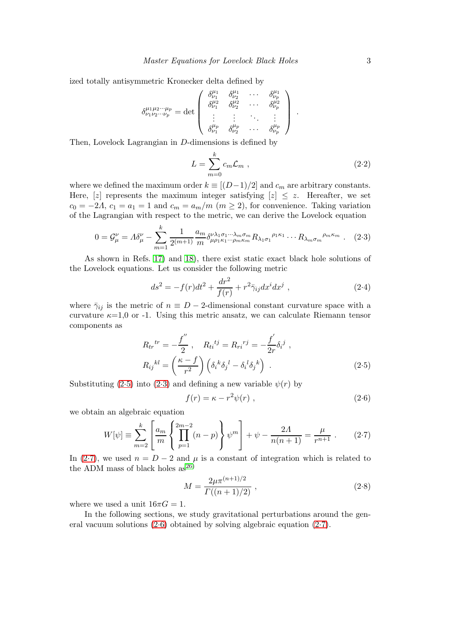ized totally antisymmetric Kronecker delta defined by

$$
\delta^{\mu_1 \mu_2 \cdots \mu_p}_{\nu_1 \nu_2 \cdots \nu_p} = \det \begin{pmatrix} \delta^{\mu_1}_{\nu_1} & \delta^{\mu_1}_{\nu_2} & \cdots & \delta^{\mu_1}_{\nu_p} \\ \delta^{\mu_2}_{\nu_1} & \delta^{\mu_2}_{\nu_2} & \cdots & \delta^{\mu_2}_{\nu_p} \\ \vdots & \vdots & \ddots & \vdots \\ \delta^{\mu_p}_{\nu_1} & \delta^{\mu_p}_{\nu_2} & \cdots & \delta^{\mu_p}_{\nu_p} \end{pmatrix}.
$$

Then, Lovelock Lagrangian in D-dimensions is defined by

$$
L = \sum_{m=0}^{k} c_m \mathcal{L}_m , \qquad (2.2)
$$

where we defined the maximum order  $k \equiv [(D-1)/2]$  and  $c_m$  are arbitrary constants. Here, [z] represents the maximum integer satisfying  $|z| \leq z$ . Hereafter, we set  $c_0 = -2\Lambda$ ,  $c_1 = a_1 = 1$  and  $c_m = a_m/m$  ( $m \ge 2$ ), for convenience. Taking variation of the Lagrangian with respect to the metric, we can derive the Lovelock equation

<span id="page-2-1"></span>
$$
0 = \mathcal{G}^{\nu}_{\mu} = A\delta^{\nu}_{\mu} - \sum_{m=1}^{k} \frac{1}{2^{(m+1)}} \frac{a_m}{m} \delta^{\nu\lambda_1 \sigma_1 \cdots \lambda_m \sigma_m}_{\mu \rho_1 \kappa_1 \cdots \rho_m \kappa_m} R_{\lambda_1 \sigma_1}^{\rho_1 \kappa_1} \cdots R_{\lambda_m \sigma_m}^{\rho_m \kappa_m} . \tag{2.3}
$$

As shown in Refs. [17\)](#page-12-12) and [18\)](#page-12-13), there exist static exact black hole solutions of the Lovelock equations. Let us consider the following metric

<span id="page-2-4"></span>
$$
ds^{2} = -f(r)dt^{2} + \frac{dr^{2}}{f(r)} + r^{2}\bar{\gamma}_{ij}dx^{i}dx^{j} , \qquad (2.4)
$$

where  $\bar{\gamma}_{ij}$  is the metric of  $n \equiv D - 2$ -dimensional constant curvature space with a curvature  $\kappa=1,0$  or -1. Using this metric ansatz, we can calculate Riemann tensor components as

<span id="page-2-0"></span>
$$
R_{tr}^{tr} = -\frac{f''}{2}, \quad R_{ti}^{ij} = R_{ri}^{rj} = -\frac{f'}{2r} \delta_i^j ,
$$

$$
R_{ij}^{kl} = \left(\frac{\kappa - f}{r^2}\right) \left(\delta_i^k \delta_j^l - \delta_i^l \delta_j^k\right) .
$$
 (2.5)

Substituting [\(2.5\)](#page-2-0) into [\(2.3\)](#page-2-1) and defining a new variable  $\psi(r)$  by

<span id="page-2-3"></span>
$$
f(r) = \kappa - r^2 \psi(r) , \qquad (2.6)
$$

we obtain an algebraic equation

<span id="page-2-2"></span>
$$
W[\psi] \equiv \sum_{m=2}^{k} \left[ \frac{a_m}{m} \left\{ \prod_{p=1}^{2m-2} (n-p) \right\} \psi^m \right] + \psi - \frac{2\Lambda}{n(n+1)} = \frac{\mu}{r^{n+1}} . \tag{2.7}
$$

In [\(2.7\)](#page-2-2), we used  $n = D - 2$  and  $\mu$  is a constant of integration which is related to the ADM mass of black holes  $\rm as^{26)}$  $\rm as^{26)}$  $\rm as^{26)}$ 

$$
M = \frac{2\mu \pi^{(n+1)/2}}{\Gamma((n+1)/2)} ,
$$
\n(2.8)

where we used a unit  $16\pi G = 1$ .

In the following sections, we study gravitational perturbations around the general vacuum solutions [\(2.6\)](#page-2-3) obtained by solving algebraic equation [\(2.7\)](#page-2-2).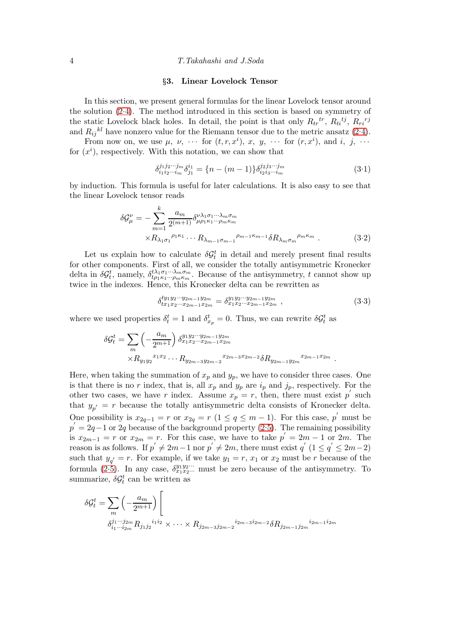<span id="page-3-0"></span>4 T.Takahashi and J.Soda

# §3. Linear Lovelock Tensor

In this section, we present general formulas for the linear Lovelock tensor around the solution [\(2.4\)](#page-2-4). The method introduced in this section is based on symmetry of the static Lovelock black holes. In detail, the point is that only  $R_{tr}^{tr}$ ,  $R_{ti}^{tj}$ ,  $R_{ri}^{rj}$ and  $R_{ij}{}^{kl}$  have nonzero value for the Riemann tensor due to the metric ansatz [\(2.4\)](#page-2-4).

From now on, we use  $\mu$ ,  $\nu$ ,  $\dots$  for  $(t, r, x^i)$ ,  $x$ ,  $y$ ,  $\dots$  for  $(r, x^i)$ , and  $i$ ,  $j$ ,  $\dots$ for  $(x<sup>i</sup>)$ , respectively. With this notation, we can show that

<span id="page-3-2"></span>
$$
\delta_{i_1 i_2 \cdots i_m}^{j_1 j_2 \cdots j_m} \delta_{j_1}^{i_1} = \{n - (m-1)\} \delta_{i_2 i_3 \cdots i_m}^{j_2 j_3 \cdots j_m} \tag{3.1}
$$

by induction. This formula is useful for later calculations. It is also easy to see that the linear Lovelock tensor reads

$$
\delta \mathcal{G}_{\mu}^{\nu} = -\sum_{m=1}^{k} \frac{a_{m}}{2^{(m+1)}} \delta^{\nu \lambda_{1} \sigma_{1} \cdots \lambda_{m} \sigma_{m}}_{\mu \rho_{1} \kappa_{1} \cdots \rho_{m} \kappa_{m}} \times R_{\lambda_{1} \sigma_{1}}^{\rho_{1} \kappa_{1}} \cdots R_{\lambda_{m-1} \sigma_{m-1}}^{\rho_{m-1} \kappa_{m}} \delta R_{\lambda_{m} \sigma_{m}}^{\rho_{m} \kappa_{m}} . \tag{3.2}
$$

Let us explain how to calculate  $\delta \mathcal{G}_t^t$  in detail and merely present final results for other components. First of all, we consider the totally antisymmetric Kronecker delta in  $\delta G_t^t$ , namely,  $\delta_{t\rho_1\kappa_1\cdots\rho_m\kappa_m}^{t\lambda_1\sigma_1\cdots\lambda_m\sigma_m}$ . Because of the antisymmetry, t cannot show up twice in the indexes. Hence, this Kronecker delta can be rewritten as

$$
\delta_{tx_1x_2\cdots x_{2m-1}x_{2m}}^{ty_1y_2\cdots y_{2m-1}y_{2m}} = \delta_{x_1x_2\cdots x_{2m-1}x_{2m}}^{y_1y_2\cdots y_{2m-1}y_{2m}},\tag{3.3}
$$

where we used properties  $\delta_t^t = 1$  and  $\delta_{x_p}^t = 0$ . Thus, we can rewrite  $\delta \mathcal{G}_t^t$  as

$$
\delta \mathcal{G}_t^t = \sum_m \left( -\frac{a_m}{2^{m+1}} \right) \delta_{x_1 x_2 \cdots x_{2m-1} x_{2m}}^{y_1 y_2 \cdots y_{2m-1} y_{2m}} \times R_{y_1 y_2}^{x_1 x_2} \cdots R_{y_{2m-3} y_{2m-2}}^{x_{2m-1} x_{2m}} \delta R_{y_{2m-1} y_{2m}}^{x_{2m-1} x_{2m}}.
$$

Here, when taking the summation of  $x_p$  and  $y_p$ , we have to consider three cases. One is that there is no r index, that is, all  $x_p$  and  $y_p$  are  $i_p$  and  $j_p$ , respectively. For the other two cases, we have r index. Assume  $x_p = r$ , then, there must exist p' such that  $y_{p'} = r$  because the totally antisymmetric delta consists of Kronecker delta. One possibility is  $x_{2q-1} = r$  or  $x_{2q} = r$  ( $1 \le q \le m-1$ ). For this case, p' must be  $p' = 2q - 1$  or 2q because of the background property [\(2.5\)](#page-2-0). The remaining possibility is  $x_{2m-1} = r$  or  $x_{2m} = r$ . For this case, we have to take  $p' = 2m - 1$  or  $2m$ . The reason is as follows. If  $p' \neq 2m-1$  nor  $p' \neq 2m$ , there must exist  $q'$   $(1 \leq q' \leq 2m-2)$ such that  $y_{q'} = r$ . For example, if we take  $y_1 = r$ ,  $x_1$  or  $x_2$  must be r because of the formula [\(2.5\)](#page-2-0). In any case,  $\delta_{x_1x_2...}^{y_1y_2...}$  must be zero because of the antisymmetry. To summarize,  $\delta \mathcal{G}_t^t$  can be written as

<span id="page-3-1"></span>
$$
\delta \mathcal{G}_t^t = \sum_m \left( -\frac{a_m}{2^{m+1}} \right) \left[ \frac{a_m}{\delta_{i_1 \cdots i_{2m}}^{j_1 \cdots j_{2m}} R_{j_1 j_2}^{i_1 i_2} \times \cdots \times R_{j_{2m-3} j_{2m-2}}^{i_{2m-3} j_{2m-2}} \delta R_{j_{2m-1} j_{2m}}^{i_{2m-1} i_{2m}} \right]
$$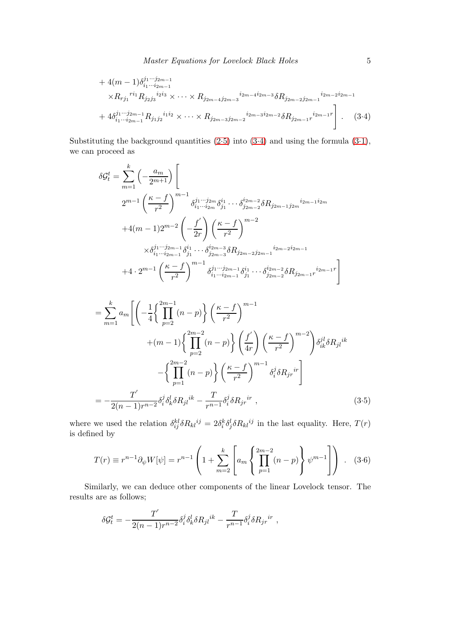+ 
$$
4(m-1)\delta_{i_1\cdots i_{2m-1}}^{j_1\cdots j_{2m-1}}
$$
  
\n $\times R_{rj_1}^{ri_1} R_{j_2j_3}^{i_2i_3} \times \cdots \times R_{j_{2m-4}j_{2m-3}}^{i_{2m-4}j_{2m-3}} \delta R_{j_{2m-2}j_{2m-1}}^{i_{2m-2}i_{2m-1}}$   
\n+  $4\delta_{i_1\cdots i_{2m-1}}^{j_1\cdots j_{2m-1}} R_{j_1j_2}^{i_1i_2} \times \cdots \times R_{j_{2m-3}j_{2m-2}}^{i_{2m-3}i_{2m-2}} \delta R_{j_{2m-1}r}^{i_{2m-1}r}.$  (3.4)

Substituting the background quantities  $(2.5)$  into  $(3.4)$  and using the formula  $(3.1)$ , we can proceed as

$$
\delta \mathcal{G}_t^t = \sum_{m=1}^k \left( -\frac{a_m}{2^{m+1}} \right) \left[
$$
  
\n
$$
2^{m-1} \left( \frac{\kappa - f}{r^2} \right)^{m-1} \delta_{i_1 \cdots i_{2m}}^{j_1 \cdots j_{2m}} \delta_{j_1}^{i_1} \cdots \delta_{j_{2m-2}}^{i_{2m-2}} \delta R_{j_{2m-1}j_{2m}}^{i_{2m-1}i_{2m}}
$$
  
\n
$$
+ 4(m-1)2^{m-2} \left( -\frac{f'}{2r} \right) \left( \frac{\kappa - f}{r^2} \right)^{m-2}
$$
  
\n
$$
\times \delta_{i_1 \cdots i_{2m-1}}^{j_1 \cdots j_{2m-1}} \delta_{j_1}^{i_1} \cdots \delta_{j_{2m-3}}^{i_{2m-3}} \delta R_{j_{2m-2}j_{2m-1}}^{i_{2m-2}i_{2m-1}}
$$
  
\n
$$
+ 4 \cdot 2^{m-1} \left( \frac{\kappa - f}{r^2} \right)^{m-1} \delta_{i_1 \cdots i_{2m-1}}^{j_1 \cdots j_{2m-1}} \delta_{j_1}^{i_1} \cdots \delta_{j_{2m-2}}^{i_{2m-2}} \delta R_{j_{2m-1}r}^{i_{2m-1}r} \right]
$$

$$
= \sum_{m=1}^{k} a_m \left[ \left( -\frac{1}{4} \left\{ \prod_{p=2}^{2m-1} (n-p) \right\} \left( \frac{\kappa - f}{r^2} \right)^{m-1} + (m-1) \left\{ \prod_{p=2}^{2m-2} (n-p) \right\} \left( \frac{f'}{4r} \right) \left( \frac{\kappa - f}{r^2} \right)^{m-2} \right) \delta_{ik}^{jl} \delta R_{jl}{}^{ik} - \left\{ \prod_{p=1}^{2m-2} (n-p) \right\} \left( \frac{\kappa - f}{r^2} \right)^{m-1} \delta_i^j \delta R_{jr}{}^{ir} \right] = -\frac{T'}{2(n-1)r^{n-2}} \delta_i^j \delta_k^l \delta R_{jl}{}^{ik} - \frac{T}{r^{n-1}} \delta_i^j \delta R_{jr}{}^{ir} , \tag{3.5}
$$

where we used the relation  $\delta_{ij}^{kl}\delta R_{kl}^{ij} = 2\delta_i^k\delta_j^l\delta R_{kl}^{ij}$  in the last equality. Here,  $T(r)$ is defined by

$$
T(r) \equiv r^{n-1} \partial_{\psi} W[\psi] = r^{n-1} \left( 1 + \sum_{m=2}^{k} \left[ a_m \left\{ \prod_{p=1}^{2m-2} (n-p) \right\} \psi^{m-1} \right] \right) . \quad (3.6)
$$

Similarly, we can deduce other components of the linear Lovelock tensor. The results are as follows;

<span id="page-4-0"></span>
$$
\delta \mathcal{G}^t_t = - \frac{T^{'}}{2(n-1)r^{n-2}} \delta^j_i \delta^l_k \delta R_{jl}{}^{ik} - \frac{T}{r^{n-1}} \delta^j_i \delta R_{jr}{}^{ir} \;,
$$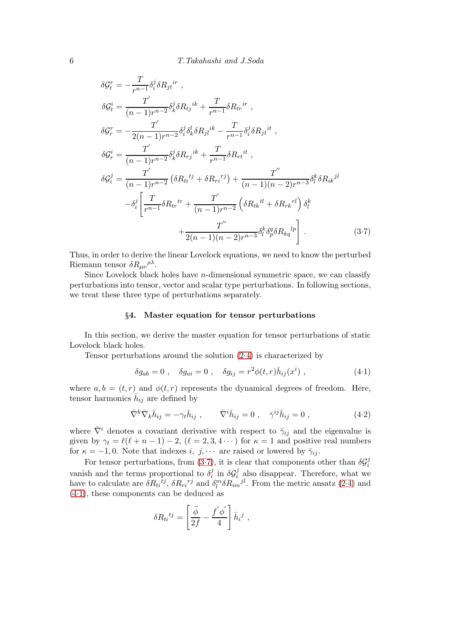$$
\delta \mathcal{G}_{t}^{r} = -\frac{T}{r^{n-1}} \delta_{i}^{j} \delta R_{jt}^{ir} ,
$$
  
\n
$$
\delta \mathcal{G}_{t}^{i} = \frac{T'}{(n-1)r^{n-2}} \delta_{k}^{j} \delta R_{tj}^{ik} + \frac{T}{r^{n-1}} \delta R_{tr}^{ir} ,
$$
  
\n
$$
\delta \mathcal{G}_{r}^{r} = -\frac{T'}{2(n-1)r^{n-2}} \delta_{i}^{j} \delta_{k}^{l} \delta R_{jl}^{ik} - \frac{T}{r^{n-1}} \delta_{i}^{j} \delta R_{jt}^{it} ,
$$
  
\n
$$
\delta \mathcal{G}_{r}^{i} = \frac{T'}{(n-1)r^{n-2}} \delta_{k}^{j} \delta R_{rj}^{ik} + \frac{T}{r^{n-1}} \delta R_{rt}^{it} ,
$$
  
\n
$$
\delta \mathcal{G}_{i}^{j} = \frac{T'}{(n-1)r^{n-2}} \left( \delta R_{ti}^{tj} + \delta R_{ri}^{rj} \right) + \frac{T''}{(n-1)(n-2)r^{n-3}} \delta_{l}^{k} \delta R_{ik}^{jl} -\delta_{i}^{j} \left[ \frac{T}{r^{n-1}} \delta R_{tr}^{r} + \frac{T'}{(n-1)r^{n-2}} \left( \delta R_{tk}^{l} + \delta R_{rk}^{l} \right) \delta_{l}^{k} + \frac{T''}{2(n-1)(n-2)r^{n-3}} \delta_{l}^{k} \delta_{l}^{q} \delta R_{kq}^{lp} \right].
$$
  
\n(3.7)

Thus, in order to derive the linear Lovelock equations, we need to know the perturbed Riemann tensor  $\delta R_{\mu\nu}{}^{\rho\lambda}$ .

Since Lovelock black holes have  $n$ -dimensional symmetric space, we can classify perturbations into tensor, vector and scalar type perturbations. In following sections, we treat these three type of perturbations separately.

# §4. Master equation for tensor perturbations

<span id="page-5-0"></span>In this section, we derive the master equation for tensor perturbations of static Lovelock black holes.

Tensor perturbations around the solution [\(2.4\)](#page-2-4) is characterized by

<span id="page-5-1"></span>
$$
\delta g_{ab} = 0 \;, \quad \delta g_{ai} = 0 \;, \quad \delta g_{ij} = r^2 \phi(t, r) \bar{h}_{ij}(x^i) \;, \tag{4-1}
$$

where  $a, b = (t, r)$  and  $\phi(t, r)$  represents the dynamical degrees of freedom. Here, tensor harmonics  $\bar{h}_{ij}$  are defined by

$$
\bar{\nabla}^k \bar{\nabla}_k \bar{h}_{ij} = -\gamma_t \bar{h}_{ij} , \qquad \bar{\nabla}^i \bar{h}_{ij} = 0 , \quad \bar{\gamma}^{ij} \bar{h}_{ij} = 0 , \qquad (4.2)
$$

where  $\bar{\nabla}^i$  denotes a covariant derivative with respect to  $\bar{\gamma}_{ij}$  and the eigenvalue is given by  $\gamma_t = \ell(\ell + n - 1) - 2$ ,  $(\ell = 2, 3, 4 \cdots)$  for  $\kappa = 1$  and positive real numbers for  $\kappa = -1, 0$ . Note that indexes i, j,  $\cdots$  are raised or lowered by  $\bar{\gamma}_{ij}$ .

For tensor perturbations, from [\(3.7\)](#page-4-0), it is clear that components other than  $\delta \mathcal{G}_i^j$ i vanish and the terms proportional to  $\delta_i^j$  $\sum_{i=1}^{j}$  in  $\delta \mathcal{G}_i^j$  $i$ <sub>i</sub> also disappear. Therefore, what we have to calculate are  $\delta R_{ti}^{ij}$ ,  $\delta R_{ri}^{rj}$  and  $\delta_l^m \delta R_{im}^{j}$ . From the metric ansatz [\(2.4\)](#page-2-4) and [\(4.1\)](#page-5-1), these components can be deduced as

$$
\delta R_{ti}{}^{tj} = \left[\frac{\ddot{\phi}}{2f} - \frac{f'\phi'}{4}\right] \bar{h}_i{}^j ,
$$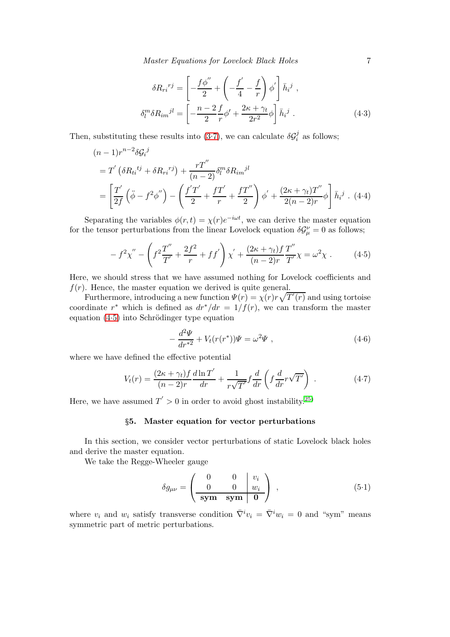Master Equations for Lovelock Black Holes 7

$$
\delta R_{ri}^{rj} = \left[ -\frac{f\phi''}{2} + \left( -\frac{f'}{4} - \frac{f}{r} \right) \phi' \right] \bar{h}_i^j ,
$$

$$
\delta_l^m \delta R_{im}^{jl} = \left[ -\frac{n-2}{2} \frac{f}{r} \phi' + \frac{2\kappa + \gamma_t}{2r^2} \phi \right] \bar{h}_i^j .
$$
(4.3)

Then, substituting these results into [\(3.7\)](#page-4-0), we can calculate  $\delta \mathcal{G}_i^j$  $i$  as follows;

$$
(n-1)r^{n-2}\delta G_i^j
$$
  
=  $T'(\delta R_{ti}^{tj} + \delta R_{ri}^{rj}) + \frac{rT''}{(n-2)}\delta_l^m \delta R_{im}^{jl}$   
=  $\left[\frac{T'}{2f}(\ddot{\phi} - f^2\phi'') - \left(\frac{f'T'}{2} + \frac{fT'}{r} + \frac{fT''}{2}\right)\phi' + \frac{(2\kappa + \gamma_t)T''}{2(n-2)r}\phi\right]\bar{h}_i^j$ . (4.4)

Separating the variables  $\phi(r,t) = \chi(r)e^{-i\omega t}$ , we can derive the master equation for the tensor perturbations from the linear Lovelock equation  $\delta \mathcal{G}_{\mu}^{\nu} = 0$  as follows;

<span id="page-6-1"></span>
$$
- f^{2} \chi'' - \left( f^{2} \frac{T''}{T'} + \frac{2f^{2}}{r} + f f' \right) \chi' + \frac{(2\kappa + \gamma_{t}) f T''}{(n - 2)r T'} \chi = \omega^{2} \chi . \tag{4.5}
$$

Here, we should stress that we have assumed nothing for Lovelock coefficients and  $f(r)$ . Hence, the master equation we derived is quite general.

Furthermore, introducing a new function  $\Psi(r) = \chi(r)r\sqrt{T'(r)}$  and using tortoise coordinate r<sup>\*</sup> which is defined as  $dr^*/dr = 1/f(r)$ , we can transform the master equation  $(4.5)$  into Schrödinger type equation

$$
-\frac{d^2\Psi}{dr^{*2}} + V_t(r(r^*))\Psi = \omega^2\Psi , \qquad (4.6)
$$

where we have defined the effective potential

$$
V_t(r) = \frac{(2\kappa + \gamma_t)f}{(n-2)r}\frac{d\ln T'}{dr} + \frac{1}{r\sqrt{T'}}f\frac{d}{dr}\left(f\frac{d}{dr}r\sqrt{T'}\right) . \tag{4.7}
$$

<span id="page-6-0"></span>Here, we have assumed  $T' > 0$  in order to avoid ghost instability.<sup>[25\)](#page-13-1)</sup>

# §5. Master equation for vector perturbations

In this section, we consider vector perturbations of static Lovelock black holes and derive the master equation.

We take the Regge-Wheeler gauge

<span id="page-6-2"></span>
$$
\delta g_{\mu\nu} = \begin{pmatrix} 0 & 0 & v_i \\ 0 & 0 & w_i \\ \hline \textbf{sym} & \textbf{sym} & 0 \end{pmatrix} , \qquad (5.1)
$$

where  $v_i$  and  $w_i$  satisfy transverse condition  $\bar{\nabla}^i v_i = \bar{\nabla}^i w_i = 0$  and "sym" means symmetric part of metric perturbations.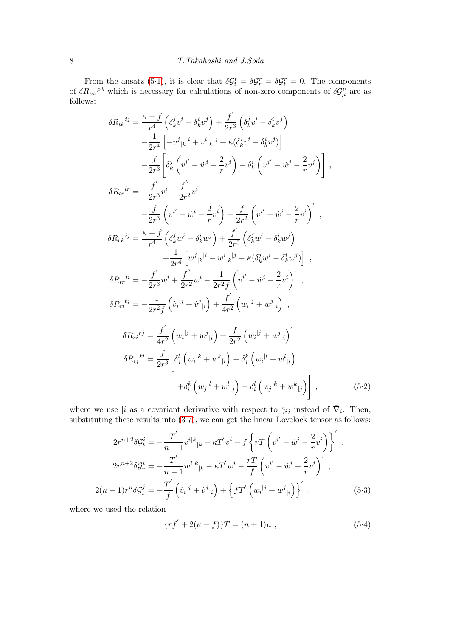From the ansatz [\(5.1\)](#page-6-2), it is clear that  $\delta \mathcal{G}_t^t = \delta \mathcal{G}_r^r = \delta \mathcal{G}_t^r = 0$ . The components of  $\delta R_{\mu\nu}{}^{\rho\lambda}$  which is necessary for calculations of non-zero components of  $\delta \mathcal{G}^{\nu}_{\mu}$  are as follows;

$$
\delta R_{tk}{}^{ij} = \frac{\kappa - f}{r^4} \left( \delta_k^j v^i - \delta_k^i v^j \right) + \frac{f'}{2r^3} \left( \delta_k^j v^i - \delta_k^i v^j \right) \n- \frac{1}{2r^4} \left[ -v^j{}_{|k}{}^{|i} + v^i{}_{|k}{}^{|j} + \kappa (\delta_k^j v^i - \delta_k^i v^j) \right] \n- \frac{f}{2r^3} \left[ \delta_k^j \left( v^{i'} - \dot{w}^i - \frac{2}{r} v^i \right) - \delta_k^i \left( v^{j'} - \dot{w}^j - \frac{2}{r} v^j \right) \right],
$$
\n
$$
\delta R_{tr}{}^{ir} = - \frac{f'}{2r^3} v^i + \frac{f''}{2r^2} v^i
$$
\n
$$
- \frac{f}{2r^3} \left( v^{i'} - \dot{w}^i - \frac{2}{r} v^i \right) - \frac{f}{2r^2} \left( v^{i'} - \dot{w}^i - \frac{2}{r} v^i \right)',
$$
\n
$$
\delta R_{rk}{}^{ij} = \frac{\kappa - f}{r^4} \left( \delta_k^j w^i - \delta_k^i w^j \right) + \frac{f'}{2r^3} \left( \delta_k^j w^i - \delta_k^i w^j \right) \n+ \frac{1}{2r^4} \left[ w^j{}_{|k}{}^{|i} - w^i{}_{|k}{}^{|j} - \kappa (\delta_k^j w^i - \delta_k^i w^j) \right],
$$
\n
$$
\delta R_{tr}{}^{ti} = - \frac{f'}{2r^3} w^i + \frac{f''}{2r^2} w^i - \frac{1}{2r^2 f} \left( v^{i'} - \dot{w}^i - \frac{2}{r} v^i \right)',
$$
\n
$$
\delta R_{ti}{}^{tj} = - \frac{1}{2r^2 f} \left( \dot{v}_i{}^{|j} + \dot{v}^j{}_{|i} \right) + \frac{f'}{4r^2} \left( w_i{}^{|j} + w^j{}_{|i} \right)',
$$
\n
$$
\delta R_{ri}{}^{tj} = \frac{f'}{4r^
$$

where we use |i as a covariant derivative with respect to  $\bar{\gamma}_{ij}$  instead of  $\bar{\nabla}_i$ . Then, substituting these results into  $(3.7)$ , we can get the linear Lovelock tensor as follows:

$$
2r^{n+2}\delta \mathcal{G}_{t}^{i} = -\frac{T^{'}}{n-1}v^{i|k}{}_{|k} - \kappa T^{'}v^{i} - f\left\{rT\left(v^{i'} - \dot{w}^{i} - \frac{2}{r}v^{i}\right)\right\}^{'} ,
$$
  

$$
2r^{n+2}\delta \mathcal{G}_{r}^{i} = -\frac{T^{'}}{n-1}w^{i|k}{}_{|k} - \kappa T^{'}w^{i} - \frac{rT}{f}\left(v^{i'} - \dot{w}^{i} - \frac{2}{r}v^{i}\right)^{'} ,
$$
  

$$
2(n-1)r^{n}\delta \mathcal{G}_{i}^{j} = -\frac{T^{'}}{f}\left(\dot{v}_{i}{}^{|j} + \dot{v}^{j}{}_{|i}\right) + \left\{fT^{'}\left(w_{i}{}^{|j} + w^{j}{}_{|i}\right)\right\}^{'} ,
$$
 (5.3)

where we used the relation

<span id="page-7-0"></span>
$$
\{rf' + 2(\kappa - f)\}T = (n+1)\mu ,\qquad (5.4)
$$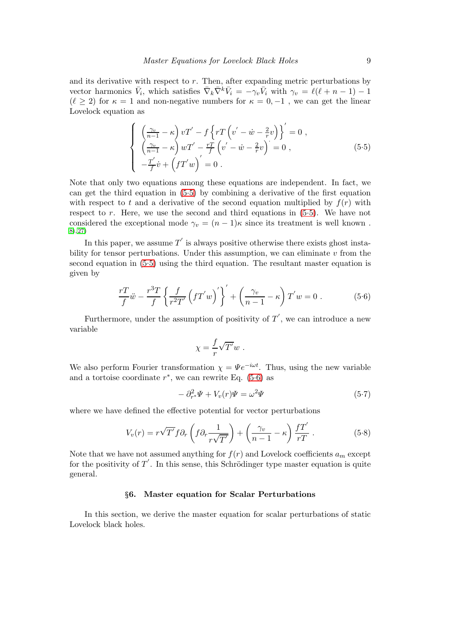and its derivative with respect to  $r$ . Then, after expanding metric perturbations by vector harmonics  $\bar{V}_i$ , which satisfies  $\bar{\nabla}_k \bar{\nabla}^k \bar{V}_i = -\gamma_v \bar{V}_i$  with  $\gamma_v = \ell(\ell + n - 1) - 1$  $(\ell > 2)$  for  $\kappa = 1$  and non-negative numbers for  $\kappa = 0, -1$ , we can get the linear Lovelock equation as

<span id="page-8-1"></span>
$$
\begin{cases}\n\left(\frac{\gamma_v}{n-1} - \kappa\right) v T' - f \left\{ rT \left( v' - \dot{w} - \frac{2}{r} v \right) \right\}' = 0, \\
\left(\frac{\gamma_v}{n-1} - \kappa\right) w T' - \frac{rT}{f} \left( v' - \dot{w} - \frac{2}{r} v \right)' = 0, \\
-\frac{T'}{f} \dot{v} + \left( f T' w \right)' = 0.\n\end{cases}
$$
\n(5.5)

Note that only two equations among these equations are independent. In fact, we can get the third equation in [\(5.5\)](#page-8-1) by combining a derivative of the first equation with respect to t and a derivative of the second equation multiplied by  $f(r)$  with respect to  $r$ . Here, we use the second and third equations in  $(5.5)$ . We have not considered the exceptional mode  $\gamma_v = (n-1)\kappa$  since its treatment is well known. [8\)](#page-12-5), [27\)](#page-13-3)

In this paper, we assume  $T'$  is always positive otherwise there exists ghost instability for tensor perturbations. Under this assumption, we can eliminate  $v$  from the second equation in [\(5.5\)](#page-8-1) using the third equation. The resultant master equation is given by

<span id="page-8-2"></span>
$$
\frac{r}{f}\ddot{w} - \frac{r^3T}{f} \left\{ \frac{f}{r^2T'} \left( fT'w \right)' \right\}' + \left( \frac{\gamma_v}{n-1} - \kappa \right) T'w = 0 . \tag{5.6}
$$

Furthermore, under the assumption of positivity of  $T'$ , we can introduce a new variable

$$
\chi = \frac{f}{r} \sqrt{T'} w \ .
$$

We also perform Fourier transformation  $\chi = \Psi e^{-i\omega t}$ . Thus, using the new variable and a tortoise coordinate  $r^*$ , we can rewrite Eq. [\(5.6\)](#page-8-2) as

$$
-\partial_{r^*}^2 \Psi + V_v(r)\Psi = \omega^2 \Psi \tag{5.7}
$$

where we have defined the effective potential for vector perturbations

$$
V_v(r) = r\sqrt{T'}f\partial_r\left(f\partial_r\frac{1}{r\sqrt{T'}}\right) + \left(\frac{\gamma_v}{n-1} - \kappa\right)\frac{fT'}{rT}.
$$
 (5.8)

Note that we have not assumed anything for  $f(r)$  and Lovelock coefficients  $a_m$  except for the positivity of  $T'$ . In this sense, this Schrödinger type master equation is quite general.

# §6. Master equation for Scalar Perturbations

<span id="page-8-0"></span>In this section, we derive the master equation for scalar perturbations of static Lovelock black holes.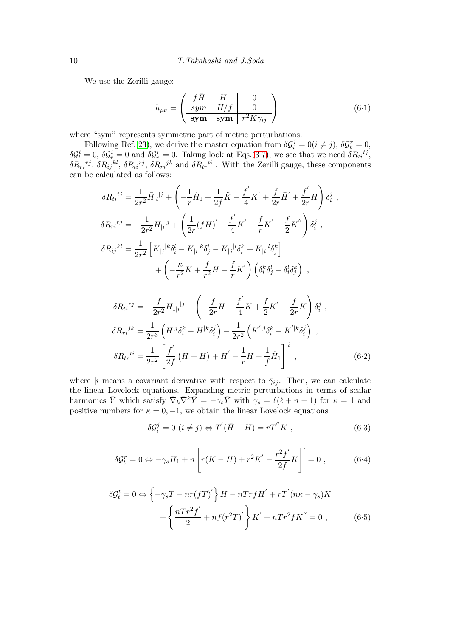We use the Zerilli gauge:

$$
h_{\mu\nu} = \begin{pmatrix} f\bar{H} & H_1 & 0 \\ \frac{sym & H/f}{\textbf{sym}} & \textbf{sym} & r^2 K \bar{\gamma}_{ij} \end{pmatrix} , \qquad (6.1)
$$

where "sym" represents symmetric part of metric perturbations.

Following Ref. [23\)](#page-12-18), we derive the master equation from  $\delta \mathcal{G}_i^j = 0 (i \neq j)$ ,  $\delta \mathcal{G}_t^r = 0$ ,  $\delta \mathcal{G}_t^t = 0$ ,  $\delta \mathcal{G}_r^i = 0$  and  $\delta \mathcal{G}_r^r = 0$ . Taking look at Eqs.[\(3.7\)](#page-4-0), we see that we need  $\delta R_{ti}^{tj}$ ,  $\delta R_{ri}{}^{rj}, \, \delta R_{ij}{}^{kl}, \, \delta R_{ti}{}^{rj}, \, \delta R_{ri}{}^{jk}$  and  $\delta R_{tr}{}^{ti}$  . With the Zerilli gauge, these components can be calculated as follows:

$$
\delta R_{ti}^{tj} = \frac{1}{2r^2} \bar{H}_{|i}^{\ |j} + \left( -\frac{1}{r} \dot{H}_1 + \frac{1}{2f} \ddot{K} - \frac{f'}{4} K' + \frac{f}{2r} \bar{H}' + \frac{f'}{2r} H \right) \delta_i^j ,
$$
  
\n
$$
\delta R_{ri}^{rj} = -\frac{1}{2r^2} H_{|i}^{\ |j} + \left( \frac{1}{2r} (fH)' - \frac{f'}{4} K' - \frac{f}{r} K' - \frac{f}{2} K'' \right) \delta_i^j ,
$$
  
\n
$$
\delta R_{ij}^{kl} = \frac{1}{2r^2} \left[ K_{|j}^{\ |k} \delta_i^l - K_{|i}^{\ |k} \delta_j^l - K_{|j}^{\ |l} \delta_i^k + K_{|i}^{\ |l} \delta_j^k \right]
$$
  
\n
$$
+ \left( -\frac{\kappa}{r^2} K + \frac{f}{r^2} H - \frac{f}{r} K' \right) \left( \delta_i^k \delta_j^l - \delta_i^l \delta_j^k \right) ,
$$

$$
\delta R_{ti}^{rj} = -\frac{f}{2r^2} H_{1|i}^{\dagger j} - \left( -\frac{f}{2r} \dot{H} - \frac{f'}{4} \dot{K} + \frac{f}{2} \dot{K}' + \frac{f}{2r} \dot{K} \right) \delta_i^j ,
$$
  
\n
$$
\delta R_{ri}^{jk} = \frac{1}{2r^3} \left( H^{[j} \delta_i^k - H^{[k} \delta_i^j) - \frac{1}{2r^2} \left( K'^{[j} \delta_i^k - K'^{[k} \delta_i^j) \right) ,
$$
  
\n
$$
\delta R_{tr}^{ti} = \frac{1}{2r^2} \left[ \frac{f'}{2f} \left( H + \bar{H} \right) + \bar{H}' - \frac{1}{r} \bar{H} - \frac{1}{f} \dot{H}_1 \right]^{[i} , \tag{6.2}
$$

where |i means a covariant derivative with respect to  $\bar{\gamma}_{ij}$ . Then, we can calculate the linear Lovelock equations. Expanding metric perturbations in terms of scalar harmonics  $\bar{Y}$  which satisfy  $\bar{\nabla}_k \bar{\nabla}^k \bar{Y} = -\gamma_s \bar{Y}$  with  $\gamma_s = \ell(\ell+n-1)$  for  $\kappa = 1$  and positive numbers for  $\kappa = 0, -1$ , we obtain the linear Lovelock equations

<span id="page-9-0"></span>
$$
\delta \mathcal{G}_i^j = 0 \ (i \neq j) \Leftrightarrow T'(\bar{H} - H) = rT''K , \qquad (6.3)
$$

<span id="page-9-1"></span>
$$
\delta \mathcal{G}_t^r = 0 \Leftrightarrow -\gamma_s H_1 + n \left[ r(K - H) + r^2 K' - \frac{r^2 f'}{2f} K \right] = 0 , \qquad (6.4)
$$

<span id="page-9-2"></span>
$$
\delta \mathcal{G}_t^t = 0 \Leftrightarrow \left\{ -\gamma_s T - nr(fT)'\right\} H - nTrfH' + rT'(n\kappa - \gamma_s)K + \left\{ \frac{nTr^2f'}{2} + nf(r^2T)'\right\} K' + nTr^2fK'' = 0 ,\qquad (6.5)
$$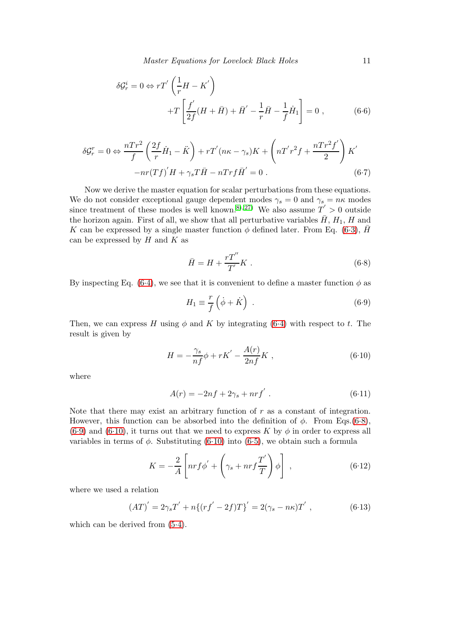Master Equations for Lovelock Black Holes 11

<span id="page-10-3"></span>
$$
\delta \mathcal{G}_r^i = 0 \Leftrightarrow rT' \left( \frac{1}{r} H - K' \right)
$$
  
+
$$
T \left[ \frac{f'}{2f} (H + \bar{H}) + \bar{H}' - \frac{1}{r} \bar{H} - \frac{1}{f} \dot{H}_1 \right] = 0 , \qquad (6.6)
$$

<span id="page-10-4"></span>
$$
\delta \mathcal{G}_r^r = 0 \Leftrightarrow \frac{nTr^2}{f} \left( \frac{2f}{r} \dot{H}_1 - \ddot{K} \right) + rT'(n\kappa - \gamma_s)K + \left( nT'r^2f + \frac{nTr^2f'}{2} \right)K'
$$

$$
-nr(Tf)'H + \gamma_s T\bar{H} - nTrf\bar{H}' = 0.
$$
 (6.7)

Now we derive the master equation for scalar perturbations from these equations. We do not consider exceptional gauge dependent modes  $\gamma_s = 0$  and  $\gamma_s = n\kappa$  modes since treatment of these modes is well known.<sup>[8\)](#page-12-5), 27</sup> We also assume  $T' > 0$  outside the horizon again. First of all, we show that all perturbative variables  $\bar{H}$ ,  $H_1$ ,  $H$  and K can be expressed by a single master function  $\phi$  defined later. From Eq. [\(6.3\)](#page-9-0),  $\bar{H}$ can be expressed by  $H$  and  $K$  as

<span id="page-10-0"></span>
$$
\bar{H} = H + \frac{rT''}{T'}K \tag{6.8}
$$

By inspecting Eq. [\(6.4\)](#page-9-1), we see that it is convenient to define a master function  $\phi$  as

<span id="page-10-1"></span>
$$
H_1 \equiv \frac{r}{f} \left( \dot{\phi} + \dot{K} \right) . \tag{6.9}
$$

Then, we can express H using  $\phi$  and K by integrating [\(6.4\)](#page-9-1) with respect to t. The result is given by

<span id="page-10-2"></span>
$$
H = -\frac{\gamma_s}{nf} \phi + rK' - \frac{A(r)}{2nf}K ,
$$
\n(6.10)

where

$$
A(r) = -2nf + 2\gamma_s + nrf' \t\t(6.11)
$$

Note that there may exist an arbitrary function of r as a constant of integration. However, this function can be absorbed into the definition of  $\phi$ . From Eqs.[\(6.8\)](#page-10-0), [\(6.9\)](#page-10-1) and [\(6.10\)](#page-10-2), it turns out that we need to express K by  $\phi$  in order to express all variables in terms of  $\phi$ . Substituting [\(6.10\)](#page-10-2) into [\(6.5\)](#page-9-2), we obtain such a formula

<span id="page-10-5"></span>
$$
K = -\frac{2}{A} \left[ nr f \phi' + \left( \gamma_s + nr f \frac{T'}{T} \right) \phi \right] , \qquad (6.12)
$$

where we used a relation

$$
(AT)' = 2\gamma_s T' + n\{(rf' - 2f)T\}' = 2(\gamma_s - n\kappa)T', \qquad (6.13)
$$

which can be derived from  $(5.4)$ .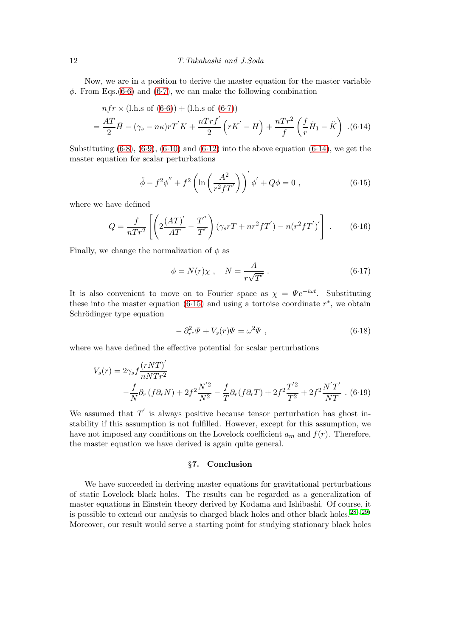Now, we are in a position to derive the master equation for the master variable  $\phi$ . From Eqs.[\(6.6\)](#page-10-3) and [\(6.7\)](#page-10-4), we can make the following combination

<span id="page-11-1"></span>
$$
nfr \times (\text{l.h.s of } (6.6)) + (\text{l.h.s of } (6.7))
$$
  
=  $\frac{AT}{2}\bar{H} - (\gamma_s - n\kappa)rT'K + \frac{nTrf'}{2}(rK' - H) + \frac{nTr^2}{f}(\frac{f}{r}\dot{H}_1 - \ddot{K})$ . (6.14)

Substituting  $(6.8)$ ,  $(6.9)$ ,  $(6.10)$  and  $(6.12)$  into the above equation  $(6.14)$ , we get the master equation for scalar perturbations

<span id="page-11-2"></span>
$$
\ddot{\phi} - f^2 \phi'' + f^2 \left( \ln \left( \frac{A^2}{r^2 f T'} \right) \right)' \phi' + Q \phi = 0 , \qquad (6.15)
$$

where we have defined

$$
Q = \frac{f}{nTr^2} \left[ \left( 2\frac{(AT)'}{AT} - \frac{T''}{T'} \right) (\gamma_s rT + nr^2 fT') - n(r^2 fT')' \right] .
$$
 (6.16)

Finally, we change the normalization of  $\phi$  as

$$
\phi = N(r)\chi \ , \quad N = \frac{A}{r\sqrt{T'}} \ . \tag{6.17}
$$

It is also convenient to move on to Fourier space as  $\chi = \Psi e^{-i\omega t}$ . Substituting these into the master equation  $(6.15)$  and using a tortoise coordinate  $r^*$ , we obtain Schrödinger type equation

$$
-\partial_{r^*}^2 \Psi + V_s(r)\Psi = \omega^2 \Psi , \qquad (6.18)
$$

where we have defined the effective potential for scalar perturbations

$$
V_s(r) = 2\gamma_s f \frac{(rNT)}{nNTr^2} - \frac{f}{N}\partial_r (f\partial_r N) + 2f^2 \frac{N'^2}{N^2} - \frac{f}{T}\partial_r (f\partial_r T) + 2f^2 \frac{T'^2}{T^2} + 2f^2 \frac{N'T'}{NT} \tag{6.19}
$$

We assumed that  $T'$  is always positive because tensor perturbation has ghost instability if this assumption is not fulfilled. However, except for this assumption, we have not imposed any conditions on the Lovelock coefficient  $a_m$  and  $f(r)$ . Therefore, the master equation we have derived is again quite general.

## §7. Conclusion

<span id="page-11-0"></span>We have succeeded in deriving master equations for gravitational perturbations of static Lovelock black holes. The results can be regarded as a generalization of master equations in Einstein theory derived by Kodama and Ishibashi. Of course, it is possible to extend our analysis to charged black holes and other black holes.  $^{28}$ ,  $^{29}$ ) Moreover, our result would serve a starting point for studying stationary black holes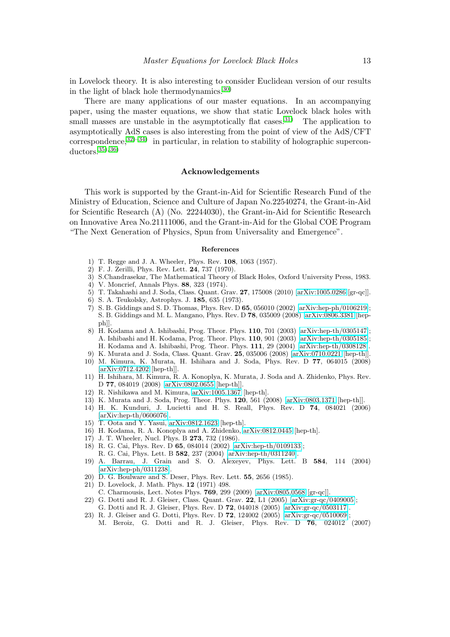in Lovelock theory. It is also interesting to consider Euclidean version of our results in the light of black hole thermodynamics.[30\)](#page-13-6)

There are many applications of our master equations. In an accompanying paper, using the master equations, we show that static Lovelock black holes with small masses are unstable in the asymptotically flat cases.<sup>[31\)](#page-13-7)</sup> The application to asymptotically AdS cases is also interesting from the point of view of the AdS/CFT  $correspondence, <sup>32)</sup>$  $correspondence, <sup>32)</sup>$  $correspondence, <sup>32)</sup>$  in particular, in relation to stability of holographic superconductors.[35\)](#page-13-10)[, 36\)](#page-13-11)

# Acknowledgements

This work is supported by the Grant-in-Aid for Scientific Research Fund of the Ministry of Education, Science and Culture of Japan No.22540274, the Grant-in-Aid for Scientific Research (A) (No. 22244030), the Grant-in-Aid for Scientific Research on Innovative Area No.21111006, and the Grant-in-Aid for the Global COE Program "The Next Generation of Physics, Spun from Universality and Emergence".

### References

- <span id="page-12-0"></span>1) T. Regge and J. A. Wheeler, Phys. Rev. 108, 1063 (1957).
- <span id="page-12-1"></span>2) F. J. Zerilli, Phys. Rev. Lett. 24, 737 (1970).
- 3) S.Chandrasekar, The Mathematical Theory of Black Holes, Oxford University Press, 1983.
- <span id="page-12-2"></span>4) V. Moncrief, Annals Phys. 88, 323 (1974).
- <span id="page-12-3"></span>5) T. Takahashi and J. Soda, Class. Quant. Grav. 27, 175008 (2010) [\[arXiv:1005.0286](http://arxiv.org/abs/1005.0286) [gr-qc]]. 6) S. A. Teukolsky, Astrophys. J. 185, 635 (1973).
- <span id="page-12-4"></span>7) S. B. Giddings and S. D. Thomas, Phys. Rev. D 65, 056010 (2002) [\[arXiv:hep-ph/0106219\]](http://arxiv.org/abs/hep-ph/0106219); S. B. Giddings and M. L. Mangano, Phys. Rev. D 78, 035009 (2008) [\[arXiv:0806.3381](http://arxiv.org/abs/0806.3381) [hep $ph$ .
- <span id="page-12-5"></span>8) H. Kodama and A. Ishibashi, Prog. Theor. Phys. 110, 701 (2003) [\[arXiv:hep-th/0305147\]](http://arxiv.org/abs/hep-th/0305147); A. Ishibashi and H. Kodama, Prog. Theor. Phys. 110, 901 (2003) [\[arXiv:hep-th/0305185\]](http://arxiv.org/abs/hep-th/0305185); H. Kodama and A. Ishibashi, Prog. Theor. Phys. 111, 29 (2004) [\[arXiv:hep-th/0308128\]](http://arxiv.org/abs/hep-th/0308128).
- <span id="page-12-7"></span><span id="page-12-6"></span>9) K. Murata and J. Soda, Class. Quant. Grav. 25, 035006 (2008) [\[arXiv:0710.0221](http://arxiv.org/abs/0710.0221) [hep-th]]. 10) M. Kimura, K. Murata, H. Ishihara and J. Soda, Phys. Rev. D 77, 064015 (2008) [\[arXiv:0712.4202](http://arxiv.org/abs/0712.4202) [hep-th]].
- 11) H. Ishihara, M. Kimura, R. A. Konoplya, K. Murata, J. Soda and A. Zhidenko, Phys. Rev. D 77, 084019 (2008) [\[arXiv:0802.0655](http://arxiv.org/abs/0802.0655) [hep-th]].
- <span id="page-12-8"></span>12) R. Nishikawa and M. Kimura, [arXiv:1005.1367](http://arxiv.org/abs/1005.1367) [hep-th].
- <span id="page-12-10"></span><span id="page-12-9"></span>13) K. Murata and J. Soda, Prog. Theor. Phys. 120, 561 (2008) [\[arXiv:0803.1371](http://arxiv.org/abs/0803.1371) [hep-th]].
- 14) H. K. Kunduri, J. Lucietti and H. S. Reall, Phys. Rev. D 74, 084021 (2006) [\[arXiv:hep-th/0606076\]](http://arxiv.org/abs/hep-th/0606076).
- <span id="page-12-11"></span>15) T. Oota and Y. Yasui, [arXiv:0812.1623](http://arxiv.org/abs/0812.1623) [hep-th].
- <span id="page-12-12"></span>16) H. Kodama, R. A. Konoplya and A. Zhidenko, [arXiv:0812.0445](http://arxiv.org/abs/0812.0445) [hep-th].
- <span id="page-12-13"></span>17) J. T. Wheeler, Nucl. Phys. B 273, 732 (1986).
- 18) R. G. Cai, Phys. Rev. D 65, 084014 (2002) [\[arXiv:hep-th/0109133\]](http://arxiv.org/abs/hep-th/0109133);
- R. G. Cai, Phys. Lett. B 582, 237 (2004) [\[arXiv:hep-th/0311240\]](http://arxiv.org/abs/hep-th/0311240).
- <span id="page-12-14"></span>19) A. Barrau, J. Grain and S. O. Alexeyev, Phys. Lett. B 584, 114 (2004) [\[arXiv:hep-ph/0311238\]](http://arxiv.org/abs/hep-ph/0311238).
- <span id="page-12-16"></span><span id="page-12-15"></span>20) D. G. Boulware and S. Deser, Phys. Rev. Lett. 55, 2656 (1985).
- 21) D. Lovelock, J. Math. Phys. 12 (1971) 498.
- C. Charmousis, Lect. Notes Phys. 769, 299 (2009) [\[arXiv:0805.0568](http://arxiv.org/abs/0805.0568) [gr-qc]].
- <span id="page-12-17"></span>22) G. Dotti and R. J. Gleiser, Class. Quant. Grav. 22, L1 (2005) [\[arXiv:gr-qc/0409005\]](http://arxiv.org/abs/gr-qc/0409005);
- G. Dotti and R. J. Gleiser, Phys. Rev. D 72, 044018 (2005) [\[arXiv:gr-qc/0503117\]](http://arxiv.org/abs/gr-qc/0503117).
- <span id="page-12-18"></span>23) R. J. Gleiser and G. Dotti, Phys. Rev. D 72, 124002 (2005) [\[arXiv:gr-qc/0510069\]](http://arxiv.org/abs/gr-qc/0510069); M. Beroiz, G. Dotti and R. J. Gleiser, Phys. Rev. D 76, 024012 (2007)